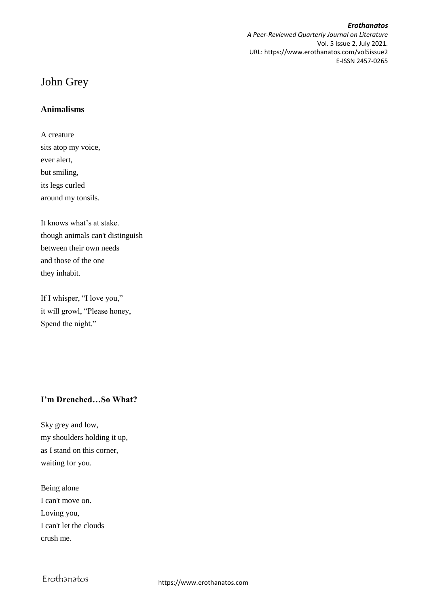## *Erothanatos*

*A Peer-Reviewed Quarterly Journal on Literature* Vol. 5 Issue 2, July 2021. URL: https://www.erothanatos.com/vol5issue2 E-ISSN 2457-0265

# John Grey

## **Animalisms**

A creature sits atop my voice, ever alert, but smiling, its legs curled around my tonsils.

It knows what's at stake. though animals can't distinguish between their own needs and those of the one they inhabit.

If I whisper, "I love you," it will growl, "Please honey, Spend the night."

# **I'm Drenched…So What?**

Sky grey and low, my shoulders holding it up, as I stand on this corner, waiting for you.

Being alone I can't move on. Loving you, I can't let the clouds crush me.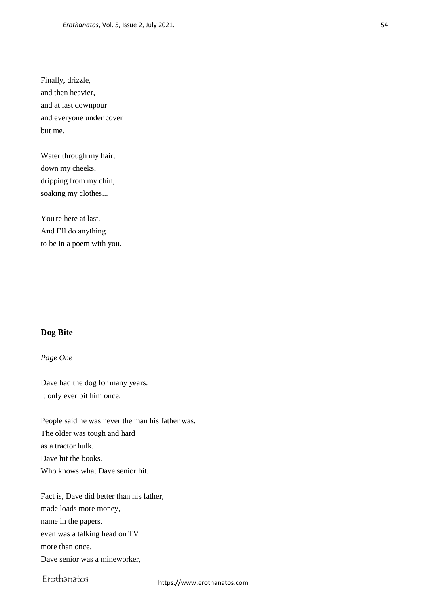Finally, drizzle, and then heavier, and at last downpour and everyone under cover but me.

Water through my hair, down my cheeks, dripping from my chin, soaking my clothes...

You're here at last. And I'll do anything to be in a poem with you.

## **Dog Bite**

#### *Page One*

Dave had the dog for many years. It only ever bit him once.

People said he was never the man his father was. The older was tough and hard as a tractor hulk. Dave hit the books. Who knows what Dave senior hit.

Fact is, Dave did better than his father, made loads more money, name in the papers, even was a talking head on TV more than once. Dave senior was a mineworker,

Erothanatos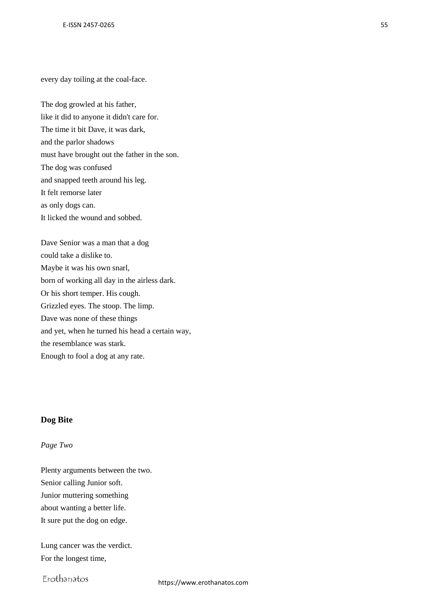every day toiling at the coal-face.

The dog growled at his father, like it did to anyone it didn't care for. The time it bit Dave, it was dark, and the parlor shadows must have brought out the father in the son. The dog was confused and snapped teeth around his leg. It felt remorse later as only dogs can. It licked the wound and sobbed.

Dave Senior was a man that a dog could take a dislike to. Maybe it was his own snarl, born of working all day in the airless dark. Or his short temper. His cough. Grizzled eyes. The stoop. The limp. Dave was none of these things and yet, when he turned his head a certain way, the resemblance was stark. Enough to fool a dog at any rate.

## **Dog Bite**

#### *Page Two*

Plenty arguments between the two. Senior calling Junior soft. Junior muttering something about wanting a better life. It sure put the dog on edge.

Lung cancer was the verdict. For the longest time,

Erothanatos

https://www.erothanatos.com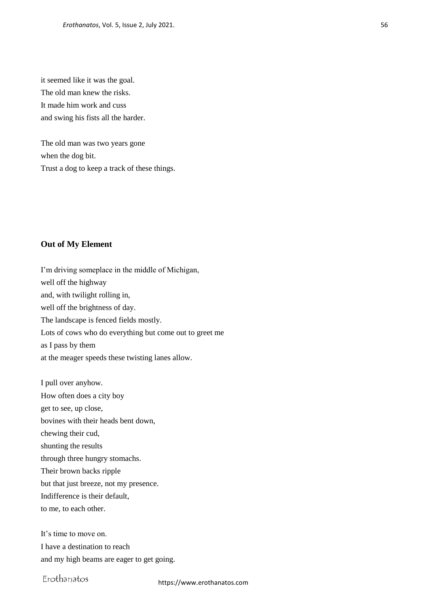it seemed like it was the goal. The old man knew the risks. It made him work and cuss and swing his fists all the harder.

The old man was two years gone when the dog bit. Trust a dog to keep a track of these things.

## **Out of My Element**

I'm driving someplace in the middle of Michigan, well off the highway and, with twilight rolling in, well off the brightness of day. The landscape is fenced fields mostly. Lots of cows who do everything but come out to greet me as I pass by them at the meager speeds these twisting lanes allow.

I pull over anyhow. How often does a city boy get to see, up close, bovines with their heads bent down, chewing their cud, shunting the results through three hungry stomachs. Their brown backs ripple but that just breeze, not my presence. Indifference is their default, to me, to each other.

It's time to move on. I have a destination to reach and my high beams are eager to get going.

# Erothanatos